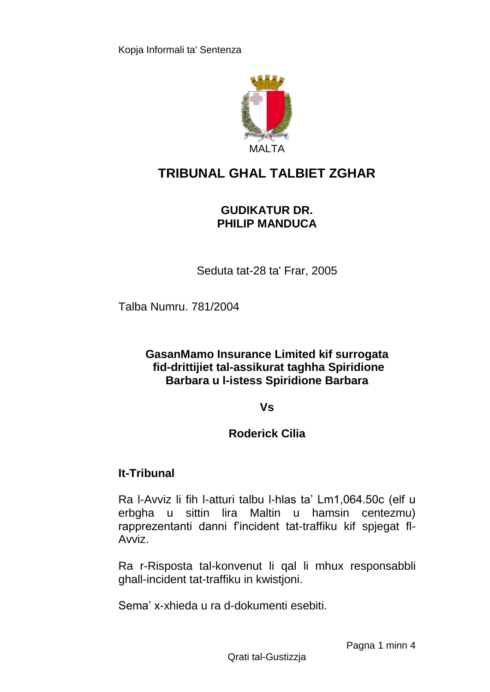

# **TRIBUNAL GHAL TALBIET ZGHAR**

## **GUDIKATUR DR. PHILIP MANDUCA**

Seduta tat-28 ta' Frar, 2005

Talba Numru. 781/2004

## **GasanMamo Insurance Limited kif surrogata fid-drittijiet tal-assikurat taghha Spiridione Barbara u l-istess Spiridione Barbara**

## **Vs**

## **Roderick Cilia**

## **It-Tribunal**

Ra l-Avviz li fih l-atturi talbu l-hlas ta' Lm1,064.50c (elf u erbgha u sittin lira Maltin u hamsin centezmu) rapprezentanti danni f'incident tat-traffiku kif spjegat fl-Avviz.

Ra r-Risposta tal-konvenut li qal li mhux responsabbli ghall-incident tat-traffiku in kwistjoni.

Sema' x-xhieda u ra d-dokumenti esebiti.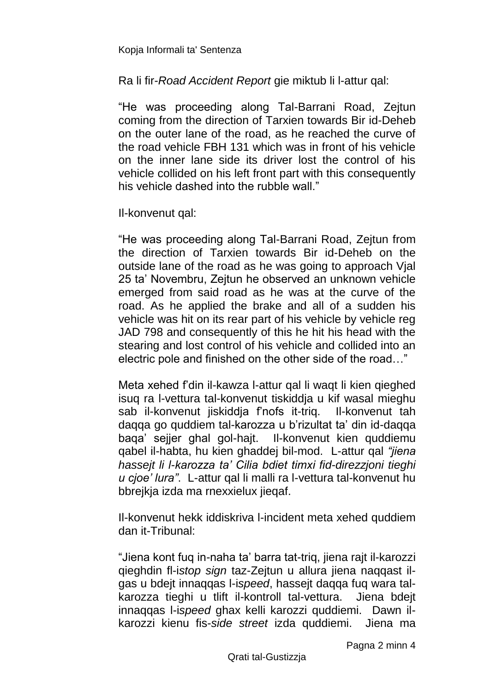Kopja Informali ta' Sentenza

Ra li fir-*Road Accident Report* gie miktub li l-attur qal:

"He was proceeding along Tal-Barrani Road, Zejtun coming from the direction of Tarxien towards Bir id-Deheb on the outer lane of the road, as he reached the curve of the road vehicle FBH 131 which was in front of his vehicle on the inner lane side its driver lost the control of his vehicle collided on his left front part with this consequently his vehicle dashed into the rubble wall."

Il-konvenut qal:

"He was proceeding along Tal-Barrani Road, Zejtun from the direction of Tarxien towards Bir id-Deheb on the outside lane of the road as he was going to approach Vjal 25 ta' Novembru, Zejtun he observed an unknown vehicle emerged from said road as he was at the curve of the road. As he applied the brake and all of a sudden his vehicle was hit on its rear part of his vehicle by vehicle reg JAD 798 and consequently of this he hit his head with the stearing and lost control of his vehicle and collided into an electric pole and finished on the other side of the road…"

Meta xehed f'din il-kawza l-attur qal li waqt li kien qieghed isuq ra l-vettura tal-konvenut tiskiddja u kif wasal mieghu sab il-konvenut jiskiddja f'nofs it-triq. Il-konvenut tah daqqa go quddiem tal-karozza u b'rizultat ta' din id-daqqa baqa' sejjer ghal gol-hajt. Il-konvenut kien quddiemu qabel il-habta, hu kien ghaddej bil-mod. L-attur qal *"jiena hassejt li l-karozza ta' Cilia bdiet timxi fid-direzzjoni tieghi u cjoe' lura"*. L-attur qal li malli ra l-vettura tal-konvenut hu bbrejkja izda ma rnexxielux jieqaf.

Il-konvenut hekk iddiskriva l-incident meta xehed quddiem dan it-Tribunal:

"Jiena kont fuq in-naha ta' barra tat-triq, jiena rajt il-karozzi qieghdin fl-i*stop sign* taz-Zejtun u allura jiena naqqast ilgas u bdejt innaqqas l-i*speed*, hassejt daqqa fuq wara talkarozza tieghi u tlift il-kontroll tal-vettura. Jiena bdejt innaqqas l-i*speed* ghax kelli karozzi quddiemi. Dawn ilkarozzi kienu fis-*side street* izda quddiemi. Jiena ma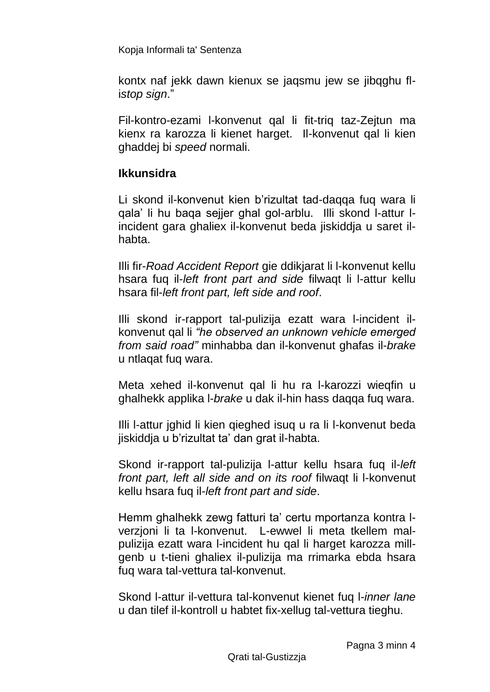Kopja Informali ta' Sentenza

kontx naf jekk dawn kienux se jaqsmu jew se jibqghu fli*stop sign*."

Fil-kontro-ezami l-konvenut qal li fit-triq taz-Zejtun ma kienx ra karozza li kienet harget. Il-konvenut qal li kien ghaddej bi *speed* normali.

## **Ikkunsidra**

Li skond il-konvenut kien b'rizultat tad-daqqa fuq wara li qala' li hu baqa sejjer ghal gol-arblu. Illi skond l-attur lincident gara ghaliex il-konvenut beda jiskiddja u saret ilhabta.

Illi fir-*Road Accident Report* gie ddikjarat li l-konvenut kellu hsara fuq il-*left front part and side* filwaqt li l-attur kellu hsara fil-*left front part, left side and roof*.

Illi skond ir-rapport tal-pulizija ezatt wara l-incident ilkonvenut qal li *"he observed an unknown vehicle emerged from said road"* minhabba dan il-konvenut ghafas il-*brake* u ntlaqat fuq wara.

Meta xehed il-konvenut qal li hu ra l-karozzi wieqfin u ghalhekk applika l-*brake* u dak il-hin hass daqqa fuq wara.

Illi l-attur jghid li kien qieghed isuq u ra li l-konvenut beda jiskiddja u b'rizultat ta' dan grat il-habta.

Skond ir-rapport tal-pulizija l-attur kellu hsara fuq il-*left front part, left all side and on its roof* filwaqt li l-konvenut kellu hsara fuq il-*left front part and side*.

Hemm ghalhekk zewg fatturi ta' certu mportanza kontra lverzjoni li ta l-konvenut. L-ewwel li meta tkellem malpulizija ezatt wara l-incident hu qal li harget karozza millgenb u t-tieni ghaliex il-pulizija ma rrimarka ebda hsara fuq wara tal-vettura tal-konvenut.

Skond l-attur il-vettura tal-konvenut kienet fuq l-*inner lane* u dan tilef il-kontroll u habtet fix-xellug tal-vettura tieghu.